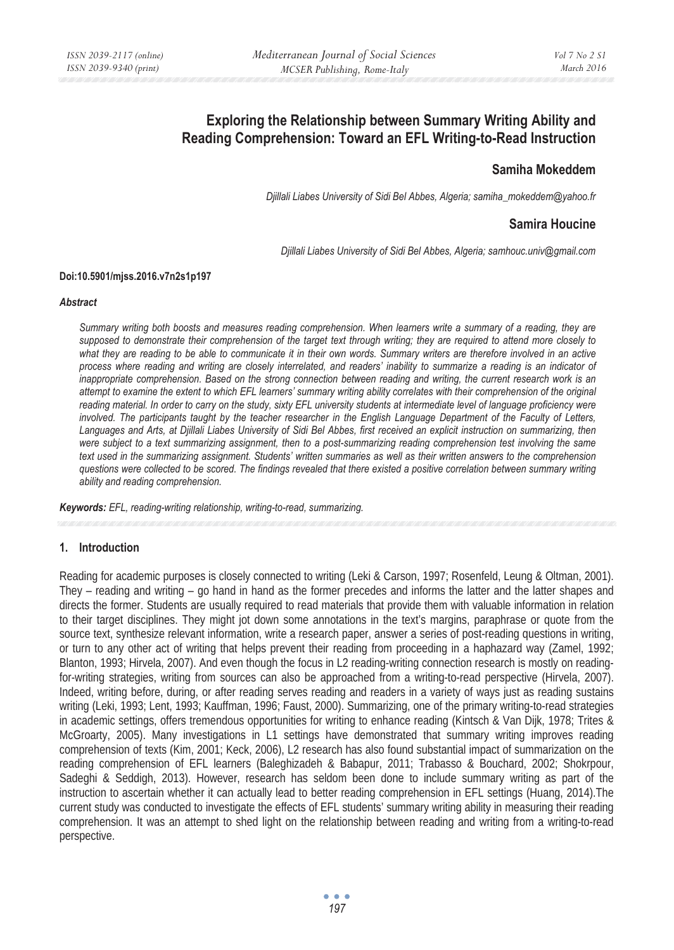# **Exploring the Relationship between Summary Writing Ability and Reading Comprehension: Toward an EFL Writing-to-Read Instruction**

## **Samiha Mokeddem**

*Djillali Liabes University of Sidi Bel Abbes, Algeria; samiha\_mokeddem@yahoo.fr* 

## **Samira Houcine**

*Djillali Liabes University of Sidi Bel Abbes, Algeria; samhouc.univ@gmail.com* 

#### **Doi:10.5901/mjss.2016.v7n2s1p197**

#### *Abstract*

*Summary writing both boosts and measures reading comprehension. When learners write a summary of a reading, they are supposed to demonstrate their comprehension of the target text through writing; they are required to attend more closely to*  what they are reading to be able to communicate it in their own words. Summary writers are therefore involved in an active *process where reading and writing are closely interrelated, and readers' inability to summarize a reading is an indicator of inappropriate comprehension. Based on the strong connection between reading and writing, the current research work is an attempt to examine the extent to which EFL learners' summary writing ability correlates with their comprehension of the original reading material. In order to carry on the study, sixty EFL university students at intermediate level of language proficiency were involved. The participants taught by the teacher researcher in the English Language Department of the Faculty of Letters, Languages and Arts, at Djillali Liabes University of Sidi Bel Abbes, first received an explicit instruction on summarizing, then were subject to a text summarizing assignment, then to a post-summarizing reading comprehension test involving the same text used in the summarizing assignment. Students' written summaries as well as their written answers to the comprehension questions were collected to be scored. The findings revealed that there existed a positive correlation between summary writing ability and reading comprehension.* 

*Keywords: EFL, reading-writing relationship, writing-to-read, summarizing.*

### **1. Introduction**

Reading for academic purposes is closely connected to writing (Leki & Carson, 1997; Rosenfeld, Leung & Oltman, 2001). They – reading and writing – go hand in hand as the former precedes and informs the latter and the latter shapes and directs the former. Students are usually required to read materials that provide them with valuable information in relation to their target disciplines. They might jot down some annotations in the text's margins, paraphrase or quote from the source text, synthesize relevant information, write a research paper, answer a series of post-reading questions in writing, or turn to any other act of writing that helps prevent their reading from proceeding in a haphazard way (Zamel, 1992; Blanton, 1993; Hirvela, 2007). And even though the focus in L2 reading-writing connection research is mostly on readingfor-writing strategies, writing from sources can also be approached from a writing-to-read perspective (Hirvela, 2007). Indeed, writing before, during, or after reading serves reading and readers in a variety of ways just as reading sustains writing (Leki, 1993; Lent, 1993; Kauffman, 1996; Faust, 2000). Summarizing, one of the primary writing-to-read strategies in academic settings, offers tremendous opportunities for writing to enhance reading (Kintsch & Van Dijk, 1978; Trites & McGroarty, 2005). Many investigations in L1 settings have demonstrated that summary writing improves reading comprehension of texts (Kim, 2001; Keck, 2006), L2 research has also found substantial impact of summarization on the reading comprehension of EFL learners (Baleghizadeh & Babapur, 2011; Trabasso & Bouchard, 2002; Shokrpour, Sadeghi & Seddigh, 2013). However, research has seldom been done to include summary writing as part of the instruction to ascertain whether it can actually lead to better reading comprehension in EFL settings (Huang, 2014).The current study was conducted to investigate the effects of EFL students' summary writing ability in measuring their reading comprehension. It was an attempt to shed light on the relationship between reading and writing from a writing-to-read perspective.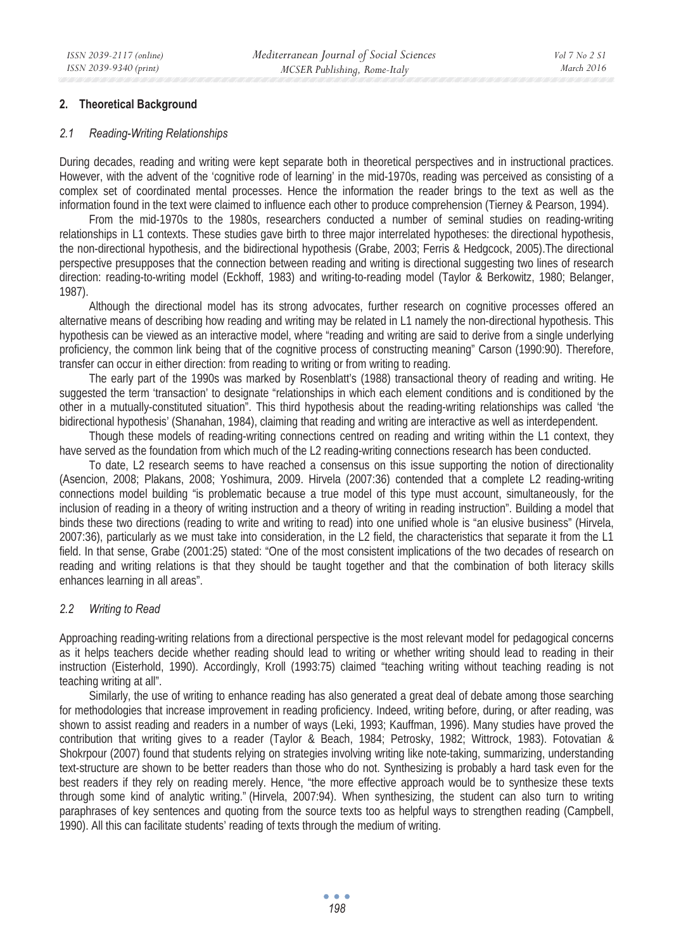### **2. Theoretical Background**

#### *2.1 Reading-Writing Relationships*

During decades, reading and writing were kept separate both in theoretical perspectives and in instructional practices. However, with the advent of the 'cognitive rode of learning' in the mid-1970s, reading was perceived as consisting of a complex set of coordinated mental processes. Hence the information the reader brings to the text as well as the information found in the text were claimed to influence each other to produce comprehension (Tierney & Pearson, 1994).

From the mid-1970s to the 1980s, researchers conducted a number of seminal studies on reading-writing relationships in L1 contexts. These studies gave birth to three major interrelated hypotheses: the directional hypothesis, the non-directional hypothesis, and the bidirectional hypothesis (Grabe, 2003; Ferris & Hedgcock, 2005).The directional perspective presupposes that the connection between reading and writing is directional suggesting two lines of research direction: reading-to-writing model (Eckhoff, 1983) and writing-to-reading model (Taylor & Berkowitz, 1980; Belanger, 1987).

Although the directional model has its strong advocates, further research on cognitive processes offered an alternative means of describing how reading and writing may be related in L1 namely the non-directional hypothesis. This hypothesis can be viewed as an interactive model, where "reading and writing are said to derive from a single underlying proficiency, the common link being that of the cognitive process of constructing meaning" Carson (1990:90). Therefore, transfer can occur in either direction: from reading to writing or from writing to reading.

The early part of the 1990s was marked by Rosenblatt's (1988) transactional theory of reading and writing. He suggested the term 'transaction' to designate "relationships in which each element conditions and is conditioned by the other in a mutually-constituted situation". This third hypothesis about the reading-writing relationships was called 'the bidirectional hypothesis' (Shanahan, 1984), claiming that reading and writing are interactive as well as interdependent.

Though these models of reading-writing connections centred on reading and writing within the L1 context, they have served as the foundation from which much of the L2 reading-writing connections research has been conducted.

To date, L2 research seems to have reached a consensus on this issue supporting the notion of directionality (Asencion, 2008; Plakans, 2008; Yoshimura, 2009. Hirvela (2007:36) contended that a complete L2 reading-writing connections model building "is problematic because a true model of this type must account, simultaneously, for the inclusion of reading in a theory of writing instruction and a theory of writing in reading instruction". Building a model that binds these two directions (reading to write and writing to read) into one unified whole is "an elusive business" (Hirvela, 2007:36), particularly as we must take into consideration, in the L2 field, the characteristics that separate it from the L1 field. In that sense, Grabe (2001:25) stated: "One of the most consistent implications of the two decades of research on reading and writing relations is that they should be taught together and that the combination of both literacy skills enhances learning in all areas".

## *2.2 Writing to Read*

Approaching reading-writing relations from a directional perspective is the most relevant model for pedagogical concerns as it helps teachers decide whether reading should lead to writing or whether writing should lead to reading in their instruction (Eisterhold, 1990). Accordingly, Kroll (1993:75) claimed "teaching writing without teaching reading is not teaching writing at all".

Similarly, the use of writing to enhance reading has also generated a great deal of debate among those searching for methodologies that increase improvement in reading proficiency. Indeed, writing before, during, or after reading, was shown to assist reading and readers in a number of ways (Leki, 1993; Kauffman, 1996). Many studies have proved the contribution that writing gives to a reader (Taylor & Beach, 1984; Petrosky, 1982; Wittrock, 1983). Fotovatian & Shokrpour (2007) found that students relying on strategies involving writing like note-taking, summarizing, understanding text-structure are shown to be better readers than those who do not. Synthesizing is probably a hard task even for the best readers if they rely on reading merely. Hence, "the more effective approach would be to synthesize these texts through some kind of analytic writing." (Hirvela, 2007:94). When synthesizing, the student can also turn to writing paraphrases of key sentences and quoting from the source texts too as helpful ways to strengthen reading (Campbell, 1990). All this can facilitate students' reading of texts through the medium of writing.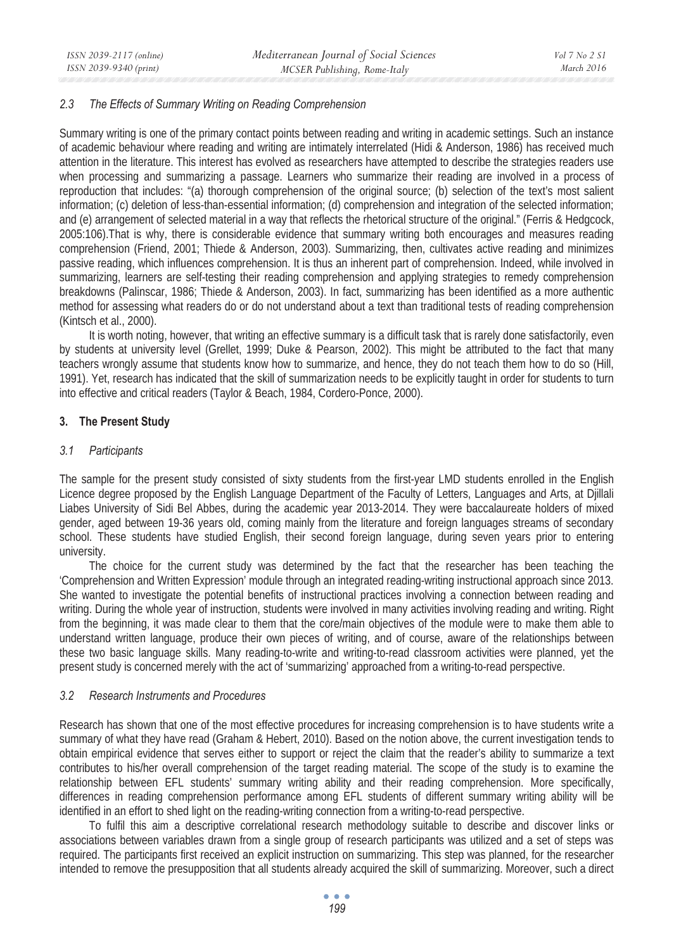## *2.3 The Effects of Summary Writing on Reading Comprehension*

Summary writing is one of the primary contact points between reading and writing in academic settings. Such an instance of academic behaviour where reading and writing are intimately interrelated (Hidi & Anderson, 1986) has received much attention in the literature. This interest has evolved as researchers have attempted to describe the strategies readers use when processing and summarizing a passage. Learners who summarize their reading are involved in a process of reproduction that includes: "(a) thorough comprehension of the original source; (b) selection of the text's most salient information; (c) deletion of less-than-essential information; (d) comprehension and integration of the selected information; and (e) arrangement of selected material in a way that reflects the rhetorical structure of the original." (Ferris & Hedgcock, 2005:106).That is why, there is considerable evidence that summary writing both encourages and measures reading comprehension (Friend, 2001; Thiede & Anderson, 2003). Summarizing, then, cultivates active reading and minimizes passive reading, which influences comprehension. It is thus an inherent part of comprehension. Indeed, while involved in summarizing, learners are self-testing their reading comprehension and applying strategies to remedy comprehension breakdowns (Palinscar, 1986; Thiede & Anderson, 2003). In fact, summarizing has been identified as a more authentic method for assessing what readers do or do not understand about a text than traditional tests of reading comprehension (Kintsch et al., 2000).

It is worth noting, however, that writing an effective summary is a difficult task that is rarely done satisfactorily, even by students at university level (Grellet, 1999; Duke & Pearson, 2002). This might be attributed to the fact that many teachers wrongly assume that students know how to summarize, and hence, they do not teach them how to do so (Hill, 1991). Yet, research has indicated that the skill of summarization needs to be explicitly taught in order for students to turn into effective and critical readers (Taylor & Beach, 1984, Cordero-Ponce, 2000).

## **3. The Present Study**

### *3.1 Participants*

The sample for the present study consisted of sixty students from the first-year LMD students enrolled in the English Licence degree proposed by the English Language Department of the Faculty of Letters, Languages and Arts, at Djillali Liabes University of Sidi Bel Abbes, during the academic year 2013-2014. They were baccalaureate holders of mixed gender, aged between 19-36 years old, coming mainly from the literature and foreign languages streams of secondary school. These students have studied English, their second foreign language, during seven years prior to entering university.

The choice for the current study was determined by the fact that the researcher has been teaching the 'Comprehension and Written Expression' module through an integrated reading-writing instructional approach since 2013. She wanted to investigate the potential benefits of instructional practices involving a connection between reading and writing. During the whole year of instruction, students were involved in many activities involving reading and writing. Right from the beginning, it was made clear to them that the core/main objectives of the module were to make them able to understand written language, produce their own pieces of writing, and of course, aware of the relationships between these two basic language skills. Many reading-to-write and writing-to-read classroom activities were planned, yet the present study is concerned merely with the act of 'summarizing' approached from a writing-to-read perspective.

### *3.2 Research Instruments and Procedures*

Research has shown that one of the most effective procedures for increasing comprehension is to have students write a summary of what they have read (Graham & Hebert, 2010). Based on the notion above, the current investigation tends to obtain empirical evidence that serves either to support or reject the claim that the reader's ability to summarize a text contributes to his/her overall comprehension of the target reading material. The scope of the study is to examine the relationship between EFL students' summary writing ability and their reading comprehension. More specifically, differences in reading comprehension performance among EFL students of different summary writing ability will be identified in an effort to shed light on the reading-writing connection from a writing-to-read perspective.

To fulfil this aim a descriptive correlational research methodology suitable to describe and discover links or associations between variables drawn from a single group of research participants was utilized and a set of steps was required. The participants first received an explicit instruction on summarizing. This step was planned, for the researcher intended to remove the presupposition that all students already acquired the skill of summarizing. Moreover, such a direct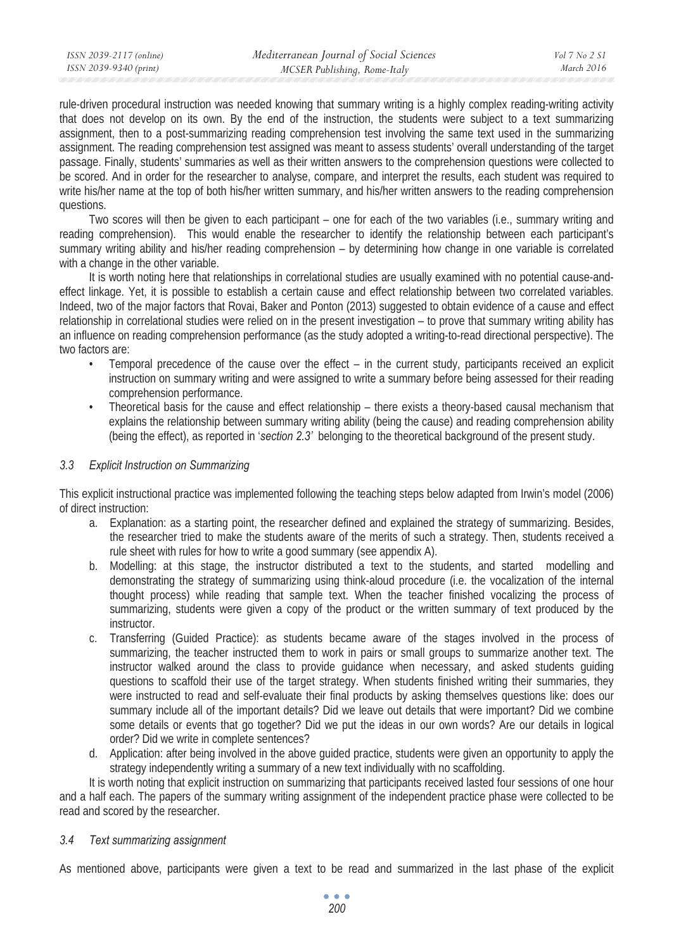rule-driven procedural instruction was needed knowing that summary writing is a highly complex reading-writing activity that does not develop on its own. By the end of the instruction, the students were subject to a text summarizing assignment, then to a post-summarizing reading comprehension test involving the same text used in the summarizing assignment. The reading comprehension test assigned was meant to assess students' overall understanding of the target passage. Finally, students' summaries as well as their written answers to the comprehension questions were collected to be scored. And in order for the researcher to analyse, compare, and interpret the results, each student was required to write his/her name at the top of both his/her written summary, and his/her written answers to the reading comprehension questions.

Two scores will then be given to each participant – one for each of the two variables (i.e., summary writing and reading comprehension). This would enable the researcher to identify the relationship between each participant's summary writing ability and his/her reading comprehension – by determining how change in one variable is correlated with a change in the other variable.

It is worth noting here that relationships in correlational studies are usually examined with no potential cause-andeffect linkage. Yet, it is possible to establish a certain cause and effect relationship between two correlated variables. Indeed, two of the major factors that Rovai, Baker and Ponton (2013) suggested to obtain evidence of a cause and effect relationship in correlational studies were relied on in the present investigation – to prove that summary writing ability has an influence on reading comprehension performance (as the study adopted a writing-to-read directional perspective). The two factors are:

- Temporal precedence of the cause over the effect in the current study, participants received an explicit instruction on summary writing and were assigned to write a summary before being assessed for their reading comprehension performance.
- Theoretical basis for the cause and effect relationship there exists a theory-based causal mechanism that explains the relationship between summary writing ability (being the cause) and reading comprehension ability (being the effect), as reported in '*section 2.3'* belonging to the theoretical background of the present study.

## *3.3 Explicit Instruction on Summarizing*

This explicit instructional practice was implemented following the teaching steps below adapted from Irwin's model (2006) of direct instruction:

- a. Explanation: as a starting point, the researcher defined and explained the strategy of summarizing. Besides, the researcher tried to make the students aware of the merits of such a strategy. Then, students received a rule sheet with rules for how to write a good summary (see appendix A).
- b. Modelling: at this stage, the instructor distributed a text to the students, and started modelling and demonstrating the strategy of summarizing using think-aloud procedure (i.e. the vocalization of the internal thought process) while reading that sample text. When the teacher finished vocalizing the process of summarizing, students were given a copy of the product or the written summary of text produced by the instructor.
- c. Transferring (Guided Practice): as students became aware of the stages involved in the process of summarizing, the teacher instructed them to work in pairs or small groups to summarize another text. The instructor walked around the class to provide guidance when necessary, and asked students guiding questions to scaffold their use of the target strategy. When students finished writing their summaries, they were instructed to read and self-evaluate their final products by asking themselves questions like: does our summary include all of the important details? Did we leave out details that were important? Did we combine some details or events that go together? Did we put the ideas in our own words? Are our details in logical order? Did we write in complete sentences?
- d. Application: after being involved in the above guided practice, students were given an opportunity to apply the strategy independently writing a summary of a new text individually with no scaffolding.

It is worth noting that explicit instruction on summarizing that participants received lasted four sessions of one hour and a half each. The papers of the summary writing assignment of the independent practice phase were collected to be read and scored by the researcher.

### *3.4 Text summarizing assignment*

As mentioned above, participants were given a text to be read and summarized in the last phase of the explicit

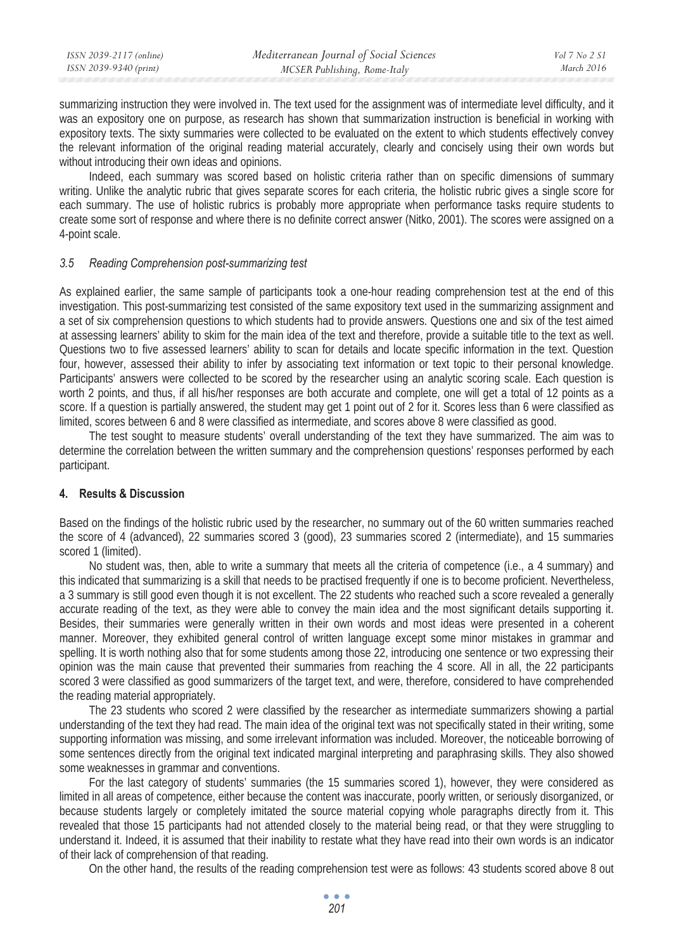summarizing instruction they were involved in. The text used for the assignment was of intermediate level difficulty, and it was an expository one on purpose, as research has shown that summarization instruction is beneficial in working with expository texts. The sixty summaries were collected to be evaluated on the extent to which students effectively convey the relevant information of the original reading material accurately, clearly and concisely using their own words but without introducing their own ideas and opinions.

Indeed, each summary was scored based on holistic criteria rather than on specific dimensions of summary writing. Unlike the analytic rubric that gives separate scores for each criteria, the holistic rubric gives a single score for each summary. The use of holistic rubrics is probably more appropriate when performance tasks require students to create some sort of response and where there is no definite correct answer (Nitko, 2001). The scores were assigned on a 4-point scale.

### *3.5 Reading Comprehension post-summarizing test*

As explained earlier, the same sample of participants took a one-hour reading comprehension test at the end of this investigation. This post-summarizing test consisted of the same expository text used in the summarizing assignment and a set of six comprehension questions to which students had to provide answers. Questions one and six of the test aimed at assessing learners' ability to skim for the main idea of the text and therefore, provide a suitable title to the text as well. Questions two to five assessed learners' ability to scan for details and locate specific information in the text. Question four, however, assessed their ability to infer by associating text information or text topic to their personal knowledge. Participants' answers were collected to be scored by the researcher using an analytic scoring scale. Each question is worth 2 points, and thus, if all his/her responses are both accurate and complete, one will get a total of 12 points as a score. If a question is partially answered, the student may get 1 point out of 2 for it. Scores less than 6 were classified as limited, scores between 6 and 8 were classified as intermediate, and scores above 8 were classified as good.

The test sought to measure students' overall understanding of the text they have summarized. The aim was to determine the correlation between the written summary and the comprehension questions' responses performed by each participant.

## **4. Results & Discussion**

Based on the findings of the holistic rubric used by the researcher, no summary out of the 60 written summaries reached the score of 4 (advanced), 22 summaries scored 3 (good), 23 summaries scored 2 (intermediate), and 15 summaries scored 1 (limited).

No student was, then, able to write a summary that meets all the criteria of competence (i.e., a 4 summary) and this indicated that summarizing is a skill that needs to be practised frequently if one is to become proficient. Nevertheless, a 3 summary is still good even though it is not excellent. The 22 students who reached such a score revealed a generally accurate reading of the text, as they were able to convey the main idea and the most significant details supporting it. Besides, their summaries were generally written in their own words and most ideas were presented in a coherent manner. Moreover, they exhibited general control of written language except some minor mistakes in grammar and spelling. It is worth nothing also that for some students among those 22, introducing one sentence or two expressing their opinion was the main cause that prevented their summaries from reaching the 4 score. All in all, the 22 participants scored 3 were classified as good summarizers of the target text, and were, therefore, considered to have comprehended the reading material appropriately.

The 23 students who scored 2 were classified by the researcher as intermediate summarizers showing a partial understanding of the text they had read. The main idea of the original text was not specifically stated in their writing, some supporting information was missing, and some irrelevant information was included. Moreover, the noticeable borrowing of some sentences directly from the original text indicated marginal interpreting and paraphrasing skills. They also showed some weaknesses in grammar and conventions.

For the last category of students' summaries (the 15 summaries scored 1), however, they were considered as limited in all areas of competence, either because the content was inaccurate, poorly written, or seriously disorganized, or because students largely or completely imitated the source material copying whole paragraphs directly from it. This revealed that those 15 participants had not attended closely to the material being read, or that they were struggling to understand it. Indeed, it is assumed that their inability to restate what they have read into their own words is an indicator of their lack of comprehension of that reading.

On the other hand, the results of the reading comprehension test were as follows: 43 students scored above 8 out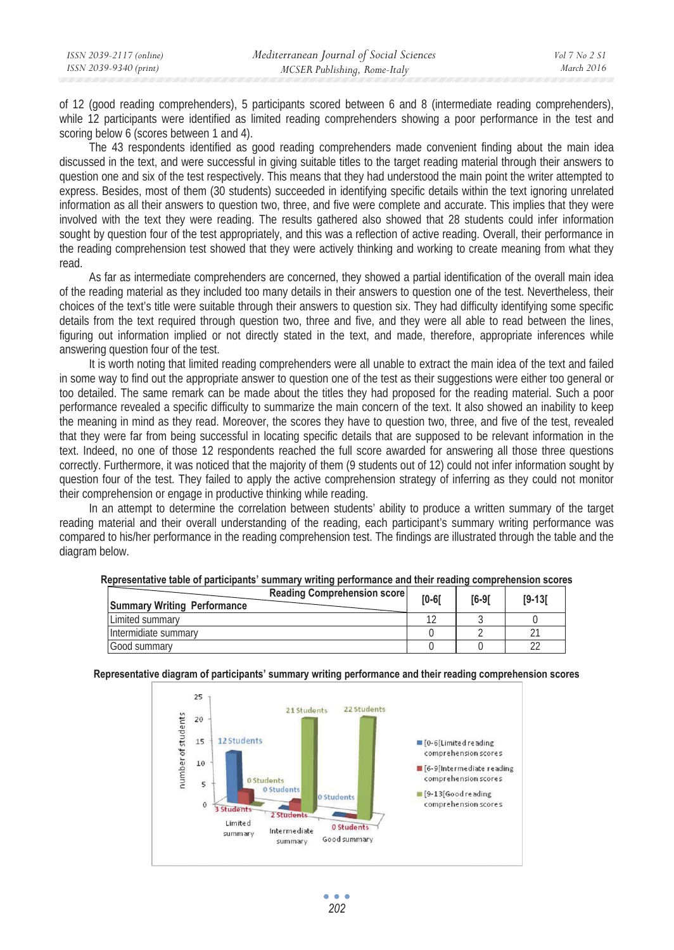of 12 (good reading comprehenders), 5 participants scored between 6 and 8 (intermediate reading comprehenders), while 12 participants were identified as limited reading comprehenders showing a poor performance in the test and scoring below 6 (scores between 1 and 4).

The 43 respondents identified as good reading comprehenders made convenient finding about the main idea discussed in the text, and were successful in giving suitable titles to the target reading material through their answers to question one and six of the test respectively. This means that they had understood the main point the writer attempted to express. Besides, most of them (30 students) succeeded in identifying specific details within the text ignoring unrelated information as all their answers to question two, three, and five were complete and accurate. This implies that they were involved with the text they were reading. The results gathered also showed that 28 students could infer information sought by question four of the test appropriately, and this was a reflection of active reading. Overall, their performance in the reading comprehension test showed that they were actively thinking and working to create meaning from what they read.

As far as intermediate comprehenders are concerned, they showed a partial identification of the overall main idea of the reading material as they included too many details in their answers to question one of the test. Nevertheless, their choices of the text's title were suitable through their answers to question six. They had difficulty identifying some specific details from the text required through question two, three and five, and they were all able to read between the lines, figuring out information implied or not directly stated in the text, and made, therefore, appropriate inferences while answering question four of the test.

It is worth noting that limited reading comprehenders were all unable to extract the main idea of the text and failed in some way to find out the appropriate answer to question one of the test as their suggestions were either too general or too detailed. The same remark can be made about the titles they had proposed for the reading material. Such a poor performance revealed a specific difficulty to summarize the main concern of the text. It also showed an inability to keep the meaning in mind as they read. Moreover, the scores they have to question two, three, and five of the test, revealed that they were far from being successful in locating specific details that are supposed to be relevant information in the text. Indeed, no one of those 12 respondents reached the full score awarded for answering all those three questions correctly. Furthermore, it was noticed that the majority of them (9 students out of 12) could not infer information sought by question four of the test. They failed to apply the active comprehension strategy of inferring as they could not monitor their comprehension or engage in productive thinking while reading.

In an attempt to determine the correlation between students' ability to produce a written summary of the target reading material and their overall understanding of the reading, each participant's summary writing performance was compared to his/her performance in the reading comprehension test. The findings are illustrated through the table and the diagram below.

| <b>Summary Writing Performance</b> | <b>Reading Comprehension score</b> | $IO-6I$ | $F6-9F$ | $I9-13I$ |
|------------------------------------|------------------------------------|---------|---------|----------|
| <b>I Limited summary</b>           |                                    |         |         |          |
| Intermidiate summary               |                                    |         |         |          |
| Good summary                       |                                    |         |         |          |

|  |  | Representative table of participants' summary writing performance and their reading comprehension scores |
|--|--|----------------------------------------------------------------------------------------------------------|
|--|--|----------------------------------------------------------------------------------------------------------|

| Representative diagram of participants' summary writing performance and their reading comprehension scores |  |  |
|------------------------------------------------------------------------------------------------------------|--|--|
|                                                                                                            |  |  |

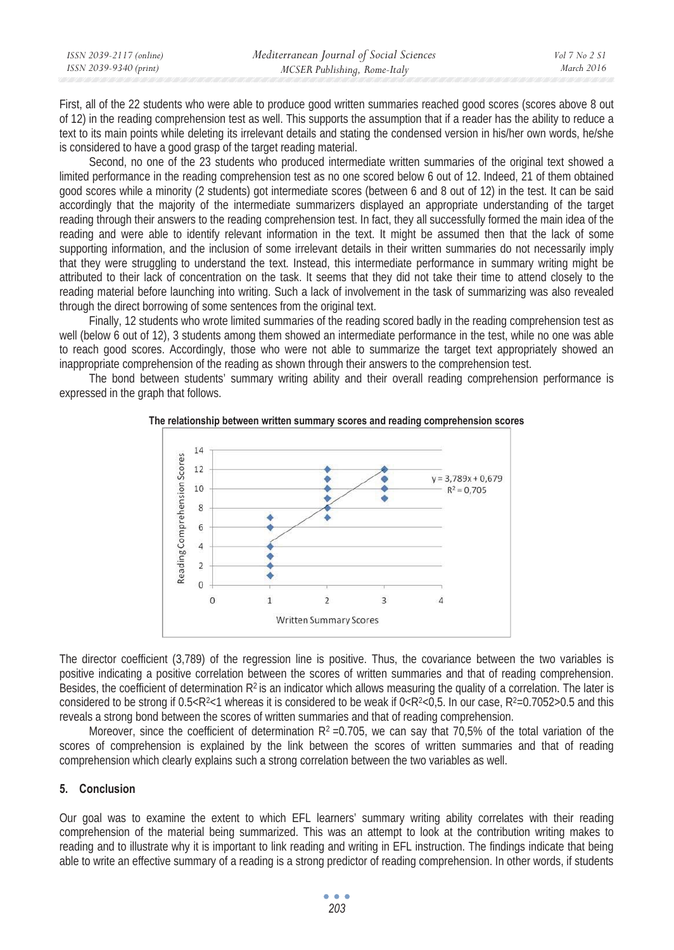| ISSN 2039-2117 (online) | Mediterranean Journal of Social Sciences | Vol 7 No 2 SI |
|-------------------------|------------------------------------------|---------------|
| ISSN 2039-9340 (print)  | MCSER Publishing, Rome-Italy             | March 2016    |

First, all of the 22 students who were able to produce good written summaries reached good scores (scores above 8 out of 12) in the reading comprehension test as well. This supports the assumption that if a reader has the ability to reduce a text to its main points while deleting its irrelevant details and stating the condensed version in his/her own words, he/she is considered to have a good grasp of the target reading material.

Second, no one of the 23 students who produced intermediate written summaries of the original text showed a limited performance in the reading comprehension test as no one scored below 6 out of 12. Indeed, 21 of them obtained good scores while a minority (2 students) got intermediate scores (between 6 and 8 out of 12) in the test. It can be said accordingly that the majority of the intermediate summarizers displayed an appropriate understanding of the target reading through their answers to the reading comprehension test. In fact, they all successfully formed the main idea of the reading and were able to identify relevant information in the text. It might be assumed then that the lack of some supporting information, and the inclusion of some irrelevant details in their written summaries do not necessarily imply that they were struggling to understand the text. Instead, this intermediate performance in summary writing might be attributed to their lack of concentration on the task. It seems that they did not take their time to attend closely to the reading material before launching into writing. Such a lack of involvement in the task of summarizing was also revealed through the direct borrowing of some sentences from the original text.

Finally, 12 students who wrote limited summaries of the reading scored badly in the reading comprehension test as well (below 6 out of 12), 3 students among them showed an intermediate performance in the test, while no one was able to reach good scores. Accordingly, those who were not able to summarize the target text appropriately showed an inappropriate comprehension of the reading as shown through their answers to the comprehension test.

The bond between students' summary writing ability and their overall reading comprehension performance is expressed in the graph that follows.



#### **The relationship between written summary scores and reading comprehension scores**

The director coefficient (3,789) of the regression line is positive. Thus, the covariance between the two variables is positive indicating a positive correlation between the scores of written summaries and that of reading comprehension. Besides, the coefficient of determination  $R^2$  is an indicator which allows measuring the quality of a correlation. The later is considered to be strong if  $0.5 < R^2 < 1$  whereas it is considered to be weak if  $0 < R^2 < 0.5$ . In our case,  $R^2 = 0.7052 > 0.5$  and this reveals a strong bond between the scores of written summaries and that of reading comprehension.

Moreover, since the coefficient of determination  $R^2 = 0.705$ , we can say that 70,5% of the total variation of the scores of comprehension is explained by the link between the scores of written summaries and that of reading comprehension which clearly explains such a strong correlation between the two variables as well.

### **5. Conclusion**

Our goal was to examine the extent to which EFL learners' summary writing ability correlates with their reading comprehension of the material being summarized. This was an attempt to look at the contribution writing makes to reading and to illustrate why it is important to link reading and writing in EFL instruction. The findings indicate that being able to write an effective summary of a reading is a strong predictor of reading comprehension. In other words, if students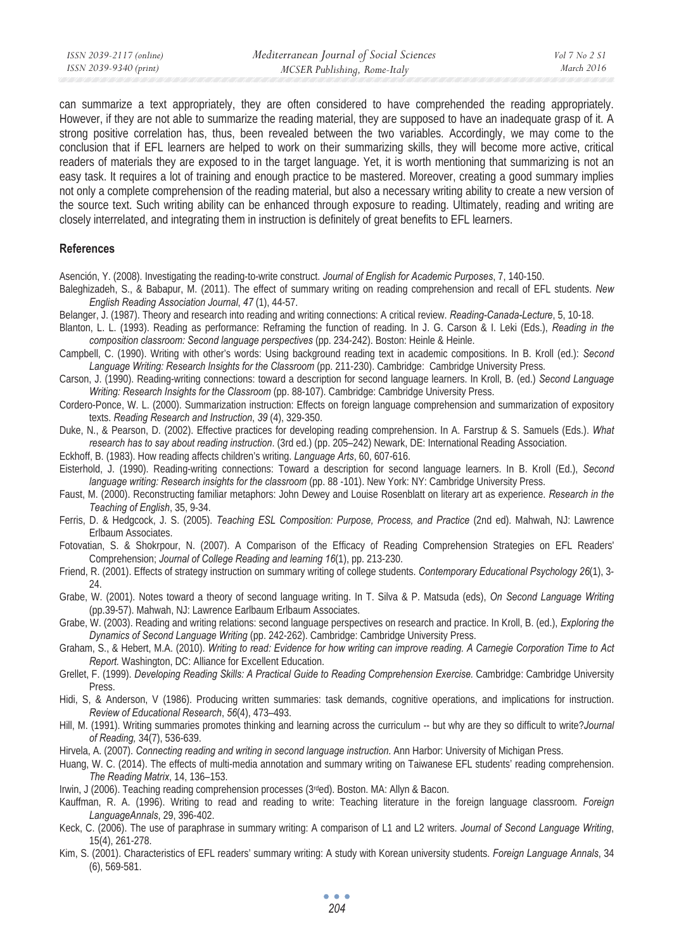| ISSN 2039-2117 (online) | Mediterranean Journal of Social Sciences | Vol 7 No 2 S1 |
|-------------------------|------------------------------------------|---------------|
| ISSN 2039-9340 (print)  | MCSER Publishing, Rome-Italy             | March 2016    |

can summarize a text appropriately, they are often considered to have comprehended the reading appropriately. However, if they are not able to summarize the reading material, they are supposed to have an inadequate grasp of it. A strong positive correlation has, thus, been revealed between the two variables. Accordingly, we may come to the conclusion that if EFL learners are helped to work on their summarizing skills, they will become more active, critical readers of materials they are exposed to in the target language. Yet, it is worth mentioning that summarizing is not an easy task. It requires a lot of training and enough practice to be mastered. Moreover, creating a good summary implies not only a complete comprehension of the reading material, but also a necessary writing ability to create a new version of the source text. Such writing ability can be enhanced through exposure to reading. Ultimately, reading and writing are closely interrelated, and integrating them in instruction is definitely of great benefits to EFL learners.

#### **References**

Asención, Y. (2008). Investigating the reading-to-write construct. *Journal of English for Academic Purposes*, 7, 140-150.

- Baleghizadeh, S., & Babapur, M. (2011). The effect of summary writing on reading comprehension and recall of EFL students. *New English Reading Association Journal*, *47* (1), 44-57.
- Belanger, J. (1987). Theory and research into reading and writing connections: A critical review. *Reading-Canada-Lecture*, 5, 10-18.
- Blanton, L. L. (1993). Reading as performance: Reframing the function of reading. In J. G. Carson & I. Leki (Eds.), *Reading in the composition classroom: Second language perspectives* (pp. 234-242). Boston: Heinle & Heinle.
- Campbell, C. (1990). Writing with other's words: Using background reading text in academic compositions. In B. Kroll (ed.): *Second*  Language Writing: Research Insights for the Classroom (pp. 211-230). Cambridge: Cambridge University Press.
- Carson, J. (1990). Reading-writing connections: toward a description for second language learners. In Kroll, B. (ed.) *Second Language Writing: Research Insights for the Classroom* (pp. 88-107). Cambridge: Cambridge University Press.
- Cordero-Ponce, W. L. (2000). Summarization instruction: Effects on foreign language comprehension and summarization of expository texts. *Reading Research and Instruction*, *39* (4), 329-350.
- Duke, N., & Pearson, D. (2002). Effective practices for developing reading comprehension. In A. Farstrup & S. Samuels (Eds.). *What research has to say about reading instruction*. (3rd ed.) (pp. 205–242) Newark, DE: International Reading Association.

Eckhoff, B. (1983). How reading affects children's writing. *Language Arts*, 60, 607-616.

- Eisterhold, J. (1990). Reading-writing connections: Toward a description for second language learners. In B. Kroll (Ed.), *Second language writing: Research insights for the classroom* (pp. 88 -101). New York: NY: Cambridge University Press.
- Faust, M. (2000). Reconstructing familiar metaphors: John Dewey and Louise Rosenblatt on literary art as experience. *Research in the Teaching of English*, 35, 9-34.
- Ferris, D. & Hedgcock, J. S. (2005). *Teaching ESL Composition: Purpose, Process, and Practice* (2nd ed)*.* Mahwah, NJ: Lawrence Erlbaum Associates.
- Fotovatian, S. & Shokrpour, N. (2007). A Comparison of the Efficacy of Reading Comprehension Strategies on EFL Readers' Comprehension; *Journal of College Reading and learning 16*(1), pp. 213-230.
- Friend, R. (2001). Effects of strategy instruction on summary writing of college students. *Contemporary Educational Psychology 26*(1), 3- 24.
- Grabe, W. (2001). Notes toward a theory of second language writing. In T. Silva & P. Matsuda (eds), *On Second Language Writing*  (pp.39-57). Mahwah, NJ: Lawrence Earlbaum Erlbaum Associates.
- Grabe, W. (2003). Reading and writing relations: second language perspectives on research and practice. In Kroll, B. (ed.), *Exploring the Dynamics of Second Language Writing* (pp. 242-262). Cambridge: Cambridge University Press.
- Graham, S., & Hebert, M.A. (2010). *Writing to read: Evidence for how writing can improve reading. A Carnegie Corporation Time to Act Report.* Washington, DC: Alliance for Excellent Education.
- Grellet, F. (1999). *Developing Reading Skills: A Practical Guide to Reading Comprehension Exercise.* Cambridge: Cambridge University Press.
- Hidi, S, & Anderson, V (1986). Producing written summaries: task demands, cognitive operations, and implications for instruction. *Review of Educational Research*, *56*(4), 473–493.
- Hill, M. (1991). Writing summaries promotes thinking and learning across the curriculum -- but why are they so difficult to write?*Journal of Reading,* 34(7), 536-639.
- Hirvela, A. (2007). *Connecting reading and writing in second language instruction*. Ann Harbor: University of Michigan Press.
- Huang, W. C. (2014). The effects of multi-media annotation and summary writing on Taiwanese EFL students' reading comprehension. *The Reading Matrix*, 14, 136–153.
- Irwin, J (2006). Teaching reading comprehension processes (3rded). Boston. MA: Allyn & Bacon.
- Kauffman, R. A. (1996). Writing to read and reading to write: Teaching literature in the foreign language classroom. *Foreign LanguageAnnals*, 29, 396-402.
- Keck, C. (2006). The use of paraphrase in summary writing: A comparison of L1 and L2 writers. *Journal of Second Language Writing*, 15(4), 261-278.
- Kim, S. (2001). Characteristics of EFL readers' summary writing: A study with Korean university students. *Foreign Language Annals*, 34 (6), 569-581.